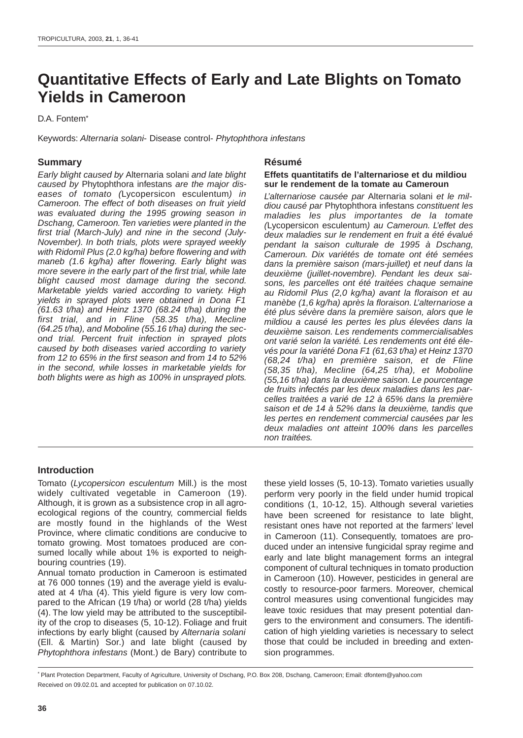# **Quantitative Effects of Early and Late Blights on Tomato Yields in Cameroon**

D.A. Fontem\*

Keywords: Alternaria solani- Disease control- Phytophthora infestans

# **Summary**

Early blight caused by Alternaria solani and late blight caused by Phytophthora infestans are the major diseases of tomato (Lycopersicon esculentum) in Cameroon. The effect of both diseases on fruit yield was evaluated during the 1995 growing season in Dschang, Cameroon. Ten varieties were planted in the first trial (March-July) and nine in the second (July-November). In both trials, plots were sprayed weekly with Ridomil Plus (2.0 kg/ha) before flowering and with maneb (1.6 kg/ha) after flowering. Early blight was more severe in the early part of the first trial, while late blight caused most damage during the second. Marketable yields varied according to variety. High yields in sprayed plots were obtained in Dona F1 (61.63 t/ha) and Heinz 1370 (68.24 t/ha) during the first trial, and in Fline (58.35 t/ha), Mecline  $(64.25 t/ha)$ , and Moboline (55.16 t/ha) during the second trial. Percent fruit infection in sprayed plots caused by both diseases varied according to variety from 12 to 65% in the first season and from 14 to 52% in the second, while losses in marketable yields for both blights were as high as 100% in unsprayed plots.

# **Résumé**

## **Effets quantitatifs de l'alternariose et du mildiou sur le rendement de la tomate au Cameroun**

L'alternariose causée par Alternaria solani et le mildiou causé par Phytophthora infestans constituent les maladies les plus importantes de la tomate (Lycopersicon esculentum) au Cameroun. L'effet des deux maladies sur le rendement en fruit a été évalué pendant la saison culturale de 1995 à Dschang, Cameroun. Dix variétés de tomate ont été semées dans la première saison (mars-juillet) et neuf dans la deuxième (juillet-novembre). Pendant les deux saisons, les parcelles ont été traitées chaque semaine au Ridomil Plus (2,0 kg/ha) avant la floraison et au manèbe (1,6 kg/ha) après la floraison. L'alternariose a été plus sévère dans la première saison, alors que le mildiou a causé les pertes les plus élevées dans la deuxième saison. Les rendements commercialisables ont varié selon la variété. Les rendements ont été élevés pour la variété Dona F1 (61,63 t/ha) et Heinz 1370 (68,24 t/ha) en première saison, et de Fline (58,35 t/ha), Mecline (64,25 t/ha), et Moboline (55,16 t/ha) dans la deuxième saison. Le pourcentage de fruits infectés par les deux maladies dans les parcelles traitées a varié de 12 à 65% dans la première saison et de 14 à 52% dans la deuxième, tandis que les pertes en rendement commercial causées par les deux maladies ont atteint 100% dans les parcelles non traitées.

# **Introduction**

Tomato (Lycopersicon esculentum Mill.) is the most widely cultivated vegetable in Cameroon (19). Although, it is grown as a subsistence crop in all agroecological regions of the country, commercial fields are mostly found in the highlands of the West Province, where climatic conditions are conducive to tomato growing. Most tomatoes produced are consumed locally while about 1% is exported to neighbouring countries (19).

Annual tomato production in Cameroon is estimated at 76 000 tonnes (19) and the average yield is evaluated at 4 t/ha (4). This yield figure is very low compared to the African (19 t/ha) or world (28 t/ha) yields (4). The low yield may be attributed to the susceptibility of the crop to diseases (5, 10-12). Foliage and fruit infections by early blight (caused by Alternaria solani (Ell. & Martin) Sor.) and late blight (caused by Phytophthora infestans (Mont.) de Bary) contribute to

these yield losses (5, 10-13). Tomato varieties usually perform very poorly in the field under humid tropical conditions (1, 10-12, 15). Although several varieties have been screened for resistance to late blight, resistant ones have not reported at the farmers' level in Cameroon (11). Consequently, tomatoes are produced under an intensive fungicidal spray regime and early and late blight management forms an integral component of cultural techniques in tomato production in Cameroon (10). However, pesticides in general are costly to resource-poor farmers. Moreover, chemical control measures using conventional fungicides may leave toxic residues that may present potential dangers to the environment and consumers. The identification of high yielding varieties is necessary to select those that could be included in breeding and extension programmes.

\* Plant Protection Department, Faculty of Agriculture, University of Dschang, P.O. Box 208, Dschang, Cameroon; Email: dfontem@yahoo.com Received on 09.02.01. and accepted for publication on 07.10.02.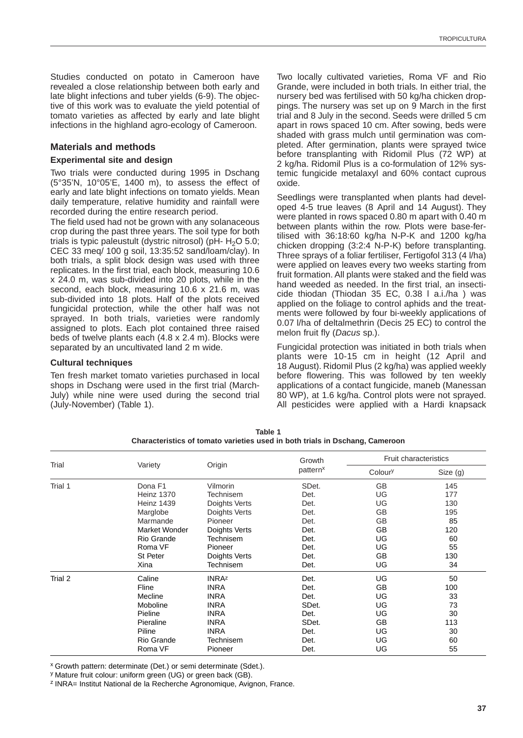Studies conducted on potato in Cameroon have revealed a close relationship between both early and late blight infections and tuber yields (6-9). The objective of this work was to evaluate the yield potential of tomato varieties as affected by early and late blight infections in the highland agro-ecology of Cameroon.

# **Materials and methods**

#### **Experimental site and design**

Two trials were conducted during 1995 in Dschang (5°35'N, 10°05'E, 1400 m), to assess the effect of early and late blight infections on tomato yields. Mean daily temperature, relative humidity and rainfall were recorded during the entire research period.

The field used had not be grown with any solanaceous crop during the past three years. The soil type for both trials is typic paleustult (dystric nitrosol) ( $pH - H<sub>2</sub>O$  5.0; CEC 33 meq/ 100 g soil, 13:35:52 sand/loam/clay). In both trials, a split block design was used with three replicates. In the first trial, each block, measuring 10.6 x 24.0 m, was sub-divided into 20 plots, while in the second, each block, measuring 10.6 x 21.6 m, was sub-divided into 18 plots. Half of the plots received fungicidal protection, while the other half was not sprayed. In both trials, varieties were randomly assigned to plots. Each plot contained three raised beds of twelve plants each (4.8 x 2.4 m). Blocks were separated by an uncultivated land 2 m wide.

#### **Cultural techniques**

Ten fresh market tomato varieties purchased in local shops in Dschang were used in the first trial (March-July) while nine were used during the second trial (July-November) (Table 1).

Two locally cultivated varieties, Roma VF and Rio Grande, were included in both trials. In either trial, the nursery bed was fertilised with 50 kg/ha chicken droppings. The nursery was set up on 9 March in the first trial and 8 July in the second. Seeds were drilled 5 cm apart in rows spaced 10 cm. After sowing, beds were shaded with grass mulch until germination was completed. After germination, plants were sprayed twice before transplanting with Ridomil Plus (72 WP) at 2 kg/ha. Ridomil Plus is a co-formulation of 12% systemic fungicide metalaxyl and 60% contact cuprous oxide.

Seedlings were transplanted when plants had developed 4-5 true leaves (8 April and 14 August). They were planted in rows spaced 0.80 m apart with 0.40 m between plants within the row. Plots were base-fertilised with 36:18:60 kg/ha N-P-K and 1200 kg/ha chicken dropping (3:2:4 N-P-K) before transplanting. Three sprays of a foliar fertiliser, Fertigofol 313 (4 l/ha) were applied on leaves every two weeks starting from fruit formation. All plants were staked and the field was hand weeded as needed. In the first trial, an insecticide thiodan (Thiodan 35 EC, 0.38 l a.i./ha ) was applied on the foliage to control aphids and the treatments were followed by four bi-weekly applications of 0.07 l/ha of deltalmethrin (Decis 25 EC) to control the melon fruit fly (Dacus sp.).

Fungicidal protection was initiated in both trials when plants were 10-15 cm in height (12 April and 18 August). Ridomil Plus (2 kg/ha) was applied weekly before flowering. This was followed by ten weekly applications of a contact fungicide, maneb (Manessan 80 WP), at 1.6 kg/ha. Control plots were not sprayed. All pesticides were applied with a Hardi knapsack

| Trial   | Variety           | Origin        | Growth<br>pattern <sup>x</sup> | Fruit characteristics |          |
|---------|-------------------|---------------|--------------------------------|-----------------------|----------|
|         |                   |               |                                | Coloury               | Size (g) |
| Trial 1 | Dona F1           | Vilmorin      | SDet.                          | <b>GB</b>             | 145      |
|         | Heinz 1370        | Technisem     | Det.                           | UG                    | 177      |
|         | <b>Heinz 1439</b> | Doights Verts | Det.                           | UG                    | 130      |
|         | Marglobe          | Doights Verts | Det.                           | <b>GB</b>             | 195      |
|         | Marmande          | Pioneer       | Det.                           | <b>GB</b>             | 85       |
|         | Market Wonder     | Doights Verts | Det.                           | GB                    | 120      |
|         | Rio Grande        | Technisem     | Det.                           | UG                    | 60       |
|         | Roma VF           | Pioneer       | Det.                           | UG                    | 55       |
|         | St Peter          | Doights Verts | Det.                           | GB                    | 130      |
|         | Xina              | Technisem     | Det.                           | UG                    | 34       |
| Trial 2 | Caline            | <b>INRAz</b>  | Det.                           | UG                    | 50       |
|         | Fline             | <b>INRA</b>   | Det.                           | GB                    | 100      |
|         | Mecline           | <b>INRA</b>   | Det.                           | UG                    | 33       |
|         | Moboline          | <b>INRA</b>   | SDet.                          | UG                    | 73       |
|         | Pieline           | <b>INRA</b>   | Det.                           | UG                    | 30       |
|         | Pieraline         | <b>INRA</b>   | SDet.                          | <b>GB</b>             | 113      |
|         | Piline            | <b>INRA</b>   | Det.                           | UG                    | 30       |
|         | Rio Grande        | Technisem     | Det.                           | UG                    | 60       |
|         | Roma VF           | Pioneer       | Det.                           | UG                    | 55       |

**Table 1 Characteristics of tomato varieties used in both trials in Dschang, Cameroon**

x Growth pattern: determinate (Det.) or semi determinate (Sdet.).

y Mature fruit colour: uniform green (UG) or green back (GB).

<sup>z</sup> INRA= Institut National de la Recherche Agronomique, Avignon, France.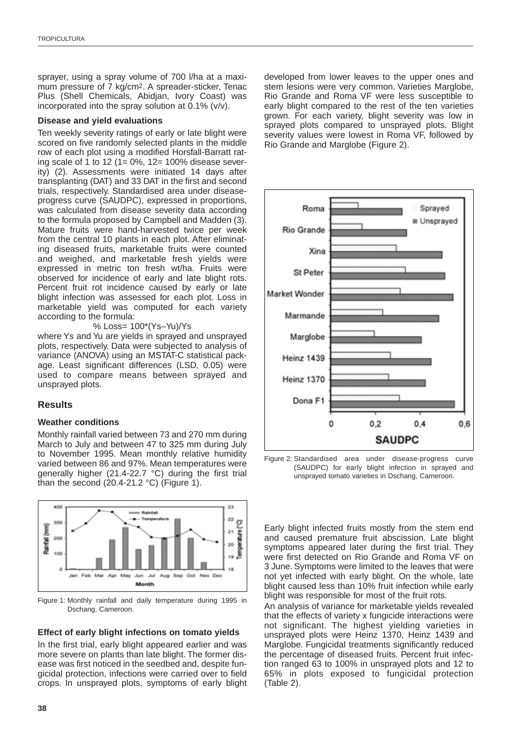sprayer, using a spray volume of 700 l/ha at a maximum pressure of 7 kg/cm2. A spreader-sticker, Tenac Plus (Shell Chemicals, Abidjan, Ivory Coast) was incorporated into the spray solution at 0.1% (v/v).

## **Disease and yield evaluations**

Ten weekly severity ratings of early or late blight were scored on five randomly selected plants in the middle row of each plot using a modified Horsfall-Barratt rating scale of 1 to 12 (1= 0%, 12= 100% disease severity) (2). Assessments were initiated 14 days after transplanting (DAT) and 33 DAT in the first and second trials, respectively. Standardised area under diseaseprogress curve (SAUDPC), expressed in proportions, was calculated from disease severity data according to the formula proposed by Campbell and Madden (3). Mature fruits were hand-harvested twice per week from the central 10 plants in each plot. After eliminating diseased fruits, marketable fruits were counted and weighed, and marketable fresh yields were expressed in metric ton fresh wt/ha. Fruits were observed for incidence of early and late blight rots. Percent fruit rot incidence caused by early or late blight infection was assessed for each plot. Loss in marketable yield was computed for each variety according to the formula:

% Loss= 100\*(Ys–Yu)/Ys

where Ys and Yu are yields in sprayed and unsprayed plots, respectively. Data were subjected to analysis of variance (ANOVA) using an MSTAT-C statistical package. Least significant differences (LSD, 0.05) were used to compare means between sprayed and unsprayed plots.

## **Results**

## **Weather conditions**

Monthly rainfall varied between 73 and 270 mm during March to July and between 47 to 325 mm during July to November 1995. Mean monthly relative humidity varied between 86 and 97%. Mean temperatures were generally higher (21.4-22.7 °C) during the first trial than the second  $(20.4-21.2 \degree C)$  (Figure 1).



Figure 1: Monthly rainfall and daily temperature during 1995 in Dschang, Cameroon.

## **Effect of early blight infections on tomato yields**

In the first trial, early blight appeared earlier and was more severe on plants than late blight. The former disease was first noticed in the seedbed and, despite fungicidal protection, infections were carried over to field crops. In unsprayed plots, symptoms of early blight developed from lower leaves to the upper ones and stem lesions were very common. Varieties Marglobe, Rio Grande and Roma VF were less susceptible to early blight compared to the rest of the ten varieties grown. For each variety, blight severity was low in sprayed plots compared to unsprayed plots. Blight severity values were lowest in Roma VF, followed by Rio Grande and Marglobe (Figure 2).



Figure 2: Standardised area under disease-progress curve (SAUDPC) for early blight infection in sprayed and unsprayed tomato varieties in Dschang, Cameroon.

Early blight infected fruits mostly from the stem end and caused premature fruit abscission. Late blight symptoms appeared later during the first trial. They were first detected on Rio Grande and Roma VF on 3 June. Symptoms were limited to the leaves that were not yet infected with early blight. On the whole, late blight caused less than 10% fruit infection while early blight was responsible for most of the fruit rots.

An analysis of variance for marketable yields revealed that the effects of variety x fungicide interactions were not significant. The highest yielding varieties in unsprayed plots were Heinz 1370, Heinz 1439 and Marglobe. Fungicidal treatments significantly reduced the percentage of diseased fruits. Percent fruit infection ranged 63 to 100% in unsprayed plots and 12 to 65% in plots exposed to fungicidal protection (Table 2).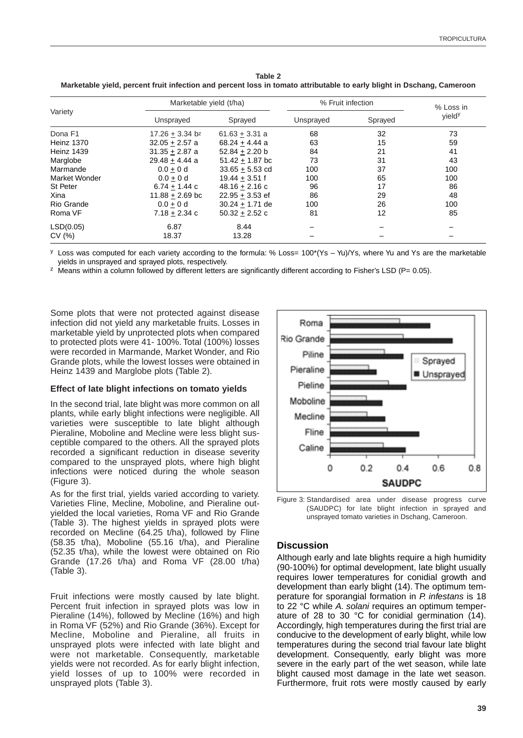|                   | Marketable yield (t/ha) |                   | % Fruit infection |         | % Loss in |
|-------------------|-------------------------|-------------------|-------------------|---------|-----------|
| Variety           | Unsprayed               | Sprayed           | Unsprayed         | Sprayed | vieldy    |
| Dona F1           | $17.26 + 3.34$ bz       | $61.63 + 3.31 a$  | 68                | 32      | 73        |
| <b>Heinz 1370</b> | $32.05 + 2.57$ a        | $68.24 + 4.44$ a  | 63                | 15      | 59        |
| <b>Heinz 1439</b> | $31.35 + 2.87$ a        | $52.84 + 2.20$ b  | 84                | 21      | 41        |
| Marglobe          | $29.48 + 4.44$ a        | $51.42 + 1.87$ bc | 73                | 31      | 43        |
| Marmande          | $0.0 + 0 d$             | $33.65 + 5.53$ cd | 100               | 37      | 100       |
| Market Wonder     | $0.0 + 0 d$             | $19.44 + 3.51$ f  | 100               | 65      | 100       |
| St Peter          | $6.74 + 1.44$ c         | $48.16 + 2.16$ c  | 96                | 17      | 86        |
| Xina              | $11.88 + 2.69$ bc       | $22.95 + 3.53$ ef | 86                | 29      | 48        |
| Rio Grande        | $0.0 + 0 d$             | $30.24 + 1.71$ de | 100               | 26      | 100       |
| Roma VF           | $7.18 + 2.34$ c         | $50.32 + 2.52c$   | 81                | 12      | 85        |
| LSD(0.05)         | 6.87                    | 8.44              |                   |         |           |
| CV(%)             | 18.37                   | 13.28             |                   |         |           |

**Table 2 Marketable yield, percent fruit infection and percent loss in tomato attributable to early blight in Dschang, Cameroon**

 $y$  Loss was computed for each variety according to the formula: % Loss=  $100*(Ys - Yu)/Ys$ , where Yu and Ys are the marketable yields in unsprayed and sprayed plots, respectively.

 $z$  Means within a column followed by different letters are significantly different according to Fisher's LSD (P= 0.05).

Some plots that were not protected against disease infection did not yield any marketable fruits. Losses in marketable yield by unprotected plots when compared to protected plots were 41- 100%. Total (100%) losses were recorded in Marmande, Market Wonder, and Rio Grande plots, while the lowest losses were obtained in Heinz 1439 and Marglobe plots (Table 2).

## **Effect of late blight infections on tomato yields**

In the second trial, late blight was more common on all plants, while early blight infections were negligible. All varieties were susceptible to late blight although Pieraline, Moboline and Mecline were less blight susceptible compared to the others. All the sprayed plots recorded a significant reduction in disease severity compared to the unsprayed plots, where high blight infections were noticed during the whole season (Figure 3).

As for the first trial, yields varied according to variety. Varieties Fline, Mecline, Moboline, and Pieraline outyielded the local varieties, Roma VF and Rio Grande (Table 3). The highest yields in sprayed plots were recorded on Mecline (64.25 t/ha), followed by Fline (58.35 t/ha), Moboline (55.16 t/ha), and Pieraline (52.35 t/ha), while the lowest were obtained on Rio Grande (17.26 t/ha) and Roma VF (28.00 t/ha) (Table 3).

Fruit infections were mostly caused by late blight. Percent fruit infection in sprayed plots was low in Pieraline (14%), followed by Mecline (16%) and high in Roma VF (52%) and Rio Grande (36%). Except for Mecline, Moboline and Pieraline, all fruits in unsprayed plots were infected with late blight and were not marketable. Consequently, marketable yields were not recorded. As for early blight infection, yield losses of up to 100% were recorded in unsprayed plots (Table 3).



Figure 3: Standardised area under disease progress curve (SAUDPC) for late blight infection in sprayed and unsprayed tomato varieties in Dschang, Cameroon.

# **Discussion**

Although early and late blights require a high humidity (90-100%) for optimal development, late blight usually requires lower temperatures for conidial growth and development than early blight (14). The optimum temperature for sporangial formation in P. infestans is 18 to 22 °C while A. solani requires an optimum temperature of 28 to 30 °C for conidial germination (14). Accordingly, high temperatures during the first trial are conducive to the development of early blight, while low temperatures during the second trial favour late blight development. Consequently, early blight was more severe in the early part of the wet season, while late blight caused most damage in the late wet season. Furthermore, fruit rots were mostly caused by early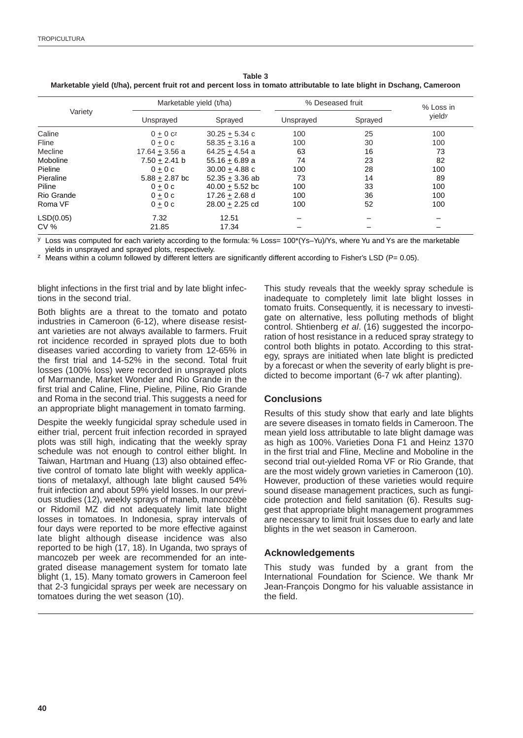|                 | Marketable yield (t/ha) |                    | % Deseased fruit |         | % Loss in |
|-----------------|-------------------------|--------------------|------------------|---------|-----------|
| Variety         | Unsprayed               | Sprayed            | Unsprayed        | Sprayed | vieldy    |
| Caline          | $0 + 0 c^2$             | $30.25 + 5.34$ c   | 100              | 25      | 100       |
| Fline           | $0 + 0c$                | $58.35 \pm 3.16$ a | 100              | 30      | 100       |
| Mecline         | $17.64 + 3.56$ a        | $64.25 + 4.54$ a   | 63               | 16      | 73        |
| Moboline        | $7.50 + 2.41$ b         | $55.16 + 6.89$ a   | 74               | 23      | 82        |
| Pieline         | $0 + 0c$                | $30.00 + 4.88$ c   | 100              | 28      | 100       |
| Pieraline       | $5.88 + 2.87$ bc        | $52.35 + 3.36$ ab  | 73               | 14      | 89        |
| Piline          | $0 + 0c$                | $40.00 + 5.52$ bc  | 100              | 33      | 100       |
| Rio Grande      | $0 + 0c$                | $17.26 + 2.68$ d   | 100              | 36      | 100       |
| Roma VF         | $0 + 0c$                | $28.00 + 2.25$ cd  | 100              | 52      | 100       |
| LSD(0.05)       | 7.32                    | 12.51              |                  |         |           |
| CV <sub>%</sub> | 21.85                   | 17.34              |                  |         |           |

| Table 3                                                                                                                |
|------------------------------------------------------------------------------------------------------------------------|
| Marketable yield (t/ha), percent fruit rot and percent loss in tomato attributable to late blight in Dschang, Cameroon |

<sup>y</sup> Loss was computed for each variety according to the formula: % Loss= 100\*(Ys–Yu)/Ys, where Yu and Ys are the marketable yields in unsprayed and sprayed plots, respectively.

 $z$  Means within a column followed by different letters are significantly different according to Fisher's LSD (P= 0.05).

blight infections in the first trial and by late blight infections in the second trial.

Both blights are a threat to the tomato and potato industries in Cameroon (6-12), where disease resistant varieties are not always available to farmers. Fruit rot incidence recorded in sprayed plots due to both diseases varied according to variety from 12-65% in the first trial and 14-52% in the second. Total fruit losses (100% loss) were recorded in unsprayed plots of Marmande, Market Wonder and Rio Grande in the first trial and Caline, Fline, Pieline, Piline, Rio Grande and Roma in the second trial.This suggests a need for an appropriate blight management in tomato farming.

Despite the weekly fungicidal spray schedule used in either trial, percent fruit infection recorded in sprayed plots was still high, indicating that the weekly spray schedule was not enough to control either blight. In Taiwan, Hartman and Huang (13) also obtained effective control of tomato late blight with weekly applications of metalaxyl, although late blight caused 54% fruit infection and about 59% yield losses. In our previous studies (12), weekly sprays of maneb, mancozèbe or Ridomil MZ did not adequately limit late blight losses in tomatoes. In Indonesia, spray intervals of four days were reported to be more effective against late blight although disease incidence was also reported to be high (17, 18). In Uganda, two sprays of mancozeb per week are recommended for an integrated disease management system for tomato late blight (1, 15). Many tomato growers in Cameroon feel that 2-3 fungicidal sprays per week are necessary on tomatoes during the wet season (10).

This study reveals that the weekly spray schedule is inadequate to completely limit late blight losses in tomato fruits. Consequently, it is necessary to investigate on alternative, less polluting methods of blight control. Shtienberg et al. (16) suggested the incorporation of host resistance in a reduced spray strategy to control both blights in potato. According to this strategy, sprays are initiated when late blight is predicted by a forecast or when the severity of early blight is predicted to become important (6-7 wk after planting).

# **Conclusions**

Results of this study show that early and late blights are severe diseases in tomato fields in Cameroon.The mean yield loss attributable to late blight damage was as high as 100%. Varieties Dona F1 and Heinz 1370 in the first trial and Fline, Mecline and Moboline in the second trial out-yielded Roma VF or Rio Grande, that are the most widely grown varieties in Cameroon (10). However, production of these varieties would require sound disease management practices, such as fungicide protection and field sanitation (6). Results suggest that appropriate blight management programmes are necessary to limit fruit losses due to early and late blights in the wet season in Cameroon.

# **Acknowledgements**

This study was funded by a grant from the International Foundation for Science. We thank Mr Jean-François Dongmo for his valuable assistance in the field.